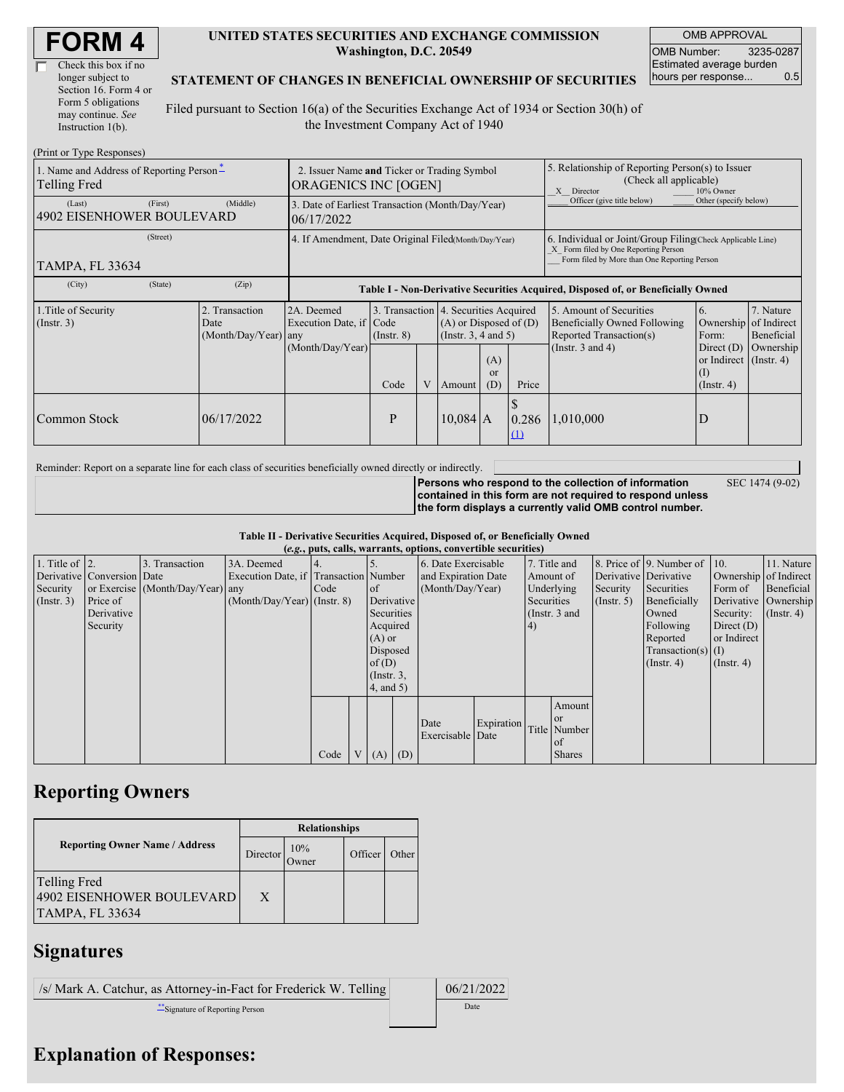| Check this box if no  |
|-----------------------|
| longer subject to     |
| Section 16. Form 4 or |
| Form 5 obligations    |
| may continue. See     |
| Instruction $1(b)$ .  |

#### **UNITED STATES SECURITIES AND EXCHANGE COMMISSION Washington, D.C. 20549**

OMB APPROVAL OMB Number: 3235-0287 Estimated average burden hours per response... 0.5

SEC 1474 (9-02)

#### **STATEMENT OF CHANGES IN BENEFICIAL OWNERSHIP OF SECURITIES**

Filed pursuant to Section 16(a) of the Securities Exchange Act of 1934 or Section 30(h) of the Investment Company Act of 1940

| (Print or Type Responses)                                |                                                                     |                                             |                                                                                  |             |   |                                                                                                                                                    |                                                                                                       |                   |                                                                                    |                                                                         |                         |
|----------------------------------------------------------|---------------------------------------------------------------------|---------------------------------------------|----------------------------------------------------------------------------------|-------------|---|----------------------------------------------------------------------------------------------------------------------------------------------------|-------------------------------------------------------------------------------------------------------|-------------------|------------------------------------------------------------------------------------|-------------------------------------------------------------------------|-------------------------|
| 1. Name and Address of Reporting Person-<br>Telling Fred | 2. Issuer Name and Ticker or Trading Symbol<br>ORAGENICS INC [OGEN] |                                             |                                                                                  |             |   |                                                                                                                                                    | 5. Relationship of Reporting Person(s) to Issuer<br>(Check all applicable)<br>X Director<br>10% Owner |                   |                                                                                    |                                                                         |                         |
| (Last)<br>4902 EISENHOWER BOULEVARD                      | (First)                                                             | (Middle)                                    | 3. Date of Earliest Transaction (Month/Day/Year)<br>06/17/2022                   |             |   |                                                                                                                                                    |                                                                                                       |                   | Officer (give title below)                                                         | Other (specify below)                                                   |                         |
| TAMPA, FL 33634                                          | 4. If Amendment, Date Original Filed(Month/Day/Year)                |                                             |                                                                                  |             |   | 6. Individual or Joint/Group Filing Check Applicable Line)<br>X Form filed by One Reporting Person<br>Form filed by More than One Reporting Person |                                                                                                       |                   |                                                                                    |                                                                         |                         |
| (City)                                                   | (State)                                                             | (Zip)                                       | Table I - Non-Derivative Securities Acquired, Disposed of, or Beneficially Owned |             |   |                                                                                                                                                    |                                                                                                       |                   |                                                                                    |                                                                         |                         |
| 1. Title of Security<br>$($ Instr. 3 $)$                 |                                                                     | Transaction<br>Date<br>(Month/Day/Year) any | 2A. Deemed<br>Execution Date, if Code                                            | (Insert, 8) |   | 3. Transaction 4. Securities Acquired<br>$(A)$ or Disposed of $(D)$<br>(Instr. 3, 4 and 5)                                                         |                                                                                                       |                   | 5. Amount of Securities<br>Beneficially Owned Following<br>Reported Transaction(s) | 6.<br>Ownership of Indirect<br>Form:                                    | 7. Nature<br>Beneficial |
|                                                          |                                                                     |                                             | (Month/Day/Year)                                                                 | Code        | V | Amount                                                                                                                                             | (A)<br><b>or</b><br>(D)                                                                               | Price             | (Instr. $3$ and $4$ )                                                              | Direct $(D)$<br>or Indirect $($ Instr. 4 $)$<br>(I)<br>$($ Instr. 4 $)$ | Ownership               |
| Common Stock                                             |                                                                     | 06/17/2022                                  |                                                                                  | P           |   | $10,084$ A                                                                                                                                         |                                                                                                       | 0.286<br>$\Omega$ | 1,010,000                                                                          | D                                                                       |                         |

Reminder: Report on a separate line for each class of securities beneficially owned directly or indirectly.

**Persons who respond to the collection of information contained in this form are not required to respond unless the form displays a currently valid OMB control number.**

**Table II - Derivative Securities Acquired, Disposed of, or Beneficially Owned**

| (e.g., puts, calls, warrants, options, convertible securities) |                            |                                  |                                       |      |                |                 |            |                     |            |            |               |               |                          |                       |                  |
|----------------------------------------------------------------|----------------------------|----------------------------------|---------------------------------------|------|----------------|-----------------|------------|---------------------|------------|------------|---------------|---------------|--------------------------|-----------------------|------------------|
| 1. Title of $\vert$ 2.                                         |                            | 3. Transaction                   | 3A. Deemed                            |      |                |                 |            | 6. Date Exercisable |            |            | 7. Title and  |               | 8. Price of 9. Number of | $\vert$ 10.           | 11. Nature       |
|                                                                | Derivative Conversion Date |                                  | Execution Date, if Transaction Number |      |                |                 |            | and Expiration Date |            | Amount of  |               |               | Derivative Derivative    | Ownership of Indirect |                  |
| Security                                                       |                            | or Exercise (Month/Day/Year) any |                                       | Code |                | of              |            | (Month/Day/Year)    |            |            | Underlying    | Security      | Securities               | Form of               | Beneficial       |
| (Insert. 3)                                                    | Price of                   |                                  | $(Month/Day/Year)$ (Instr. 8)         |      |                |                 | Derivative |                     |            | Securities |               | $($ Instr. 5) | Beneficially             | Derivative Ownership  |                  |
|                                                                | Derivative                 |                                  |                                       |      |                | Securities      |            |                     |            |            | (Instr. 3 and |               | Owned                    | Security:             | $($ Instr. 4 $)$ |
|                                                                | Security                   |                                  |                                       |      |                | Acquired        |            |                     |            | 4)         |               |               | Following                | Direct $(D)$          |                  |
|                                                                |                            |                                  |                                       |      |                | $(A)$ or        |            |                     |            |            |               |               | Reported                 | or Indirect           |                  |
|                                                                |                            |                                  |                                       |      |                | Disposed        |            |                     |            |            |               |               | Transaction(s) $(I)$     |                       |                  |
|                                                                |                            |                                  |                                       |      |                | of $(D)$        |            |                     |            |            |               |               | $($ Instr. 4 $)$         | $($ Instr. 4 $)$      |                  |
|                                                                |                            |                                  |                                       |      |                | $($ Instr. $3,$ |            |                     |            |            |               |               |                          |                       |                  |
|                                                                |                            |                                  |                                       |      |                | $4$ , and $5$ ) |            |                     |            |            |               |               |                          |                       |                  |
|                                                                |                            |                                  |                                       |      |                |                 |            |                     |            |            | Amount        |               |                          |                       |                  |
|                                                                |                            |                                  |                                       |      |                |                 |            |                     |            |            | <sub>or</sub> |               |                          |                       |                  |
|                                                                |                            |                                  |                                       |      |                |                 |            | Date                | Expiration |            | Title Number  |               |                          |                       |                  |
|                                                                |                            |                                  |                                       |      |                |                 |            | Exercisable Date    |            |            | of            |               |                          |                       |                  |
|                                                                |                            |                                  |                                       | Code | V <sub>1</sub> | (A)             | (D)        |                     |            |            | <b>Shares</b> |               |                          |                       |                  |

## **Reporting Owners**

|                                                                     | <b>Relationships</b> |                      |         |       |  |  |  |  |
|---------------------------------------------------------------------|----------------------|----------------------|---------|-------|--|--|--|--|
| <b>Reporting Owner Name / Address</b>                               | Director             | 10%<br><b>J</b> wner | Officer | Other |  |  |  |  |
| Telling Fred<br>4902 EISENHOWER BOULEVARD<br><b>TAMPA, FL 33634</b> | $\mathbf{X}$         |                      |         |       |  |  |  |  |

## **Signatures**

 $/$ s/ Mark A. Catchur, as Attorney-in-Fact for Frederick W. Telling  $\vert$  06/21/2022 \*\*Signature of Reporting Person Date

# **Explanation of Responses:**